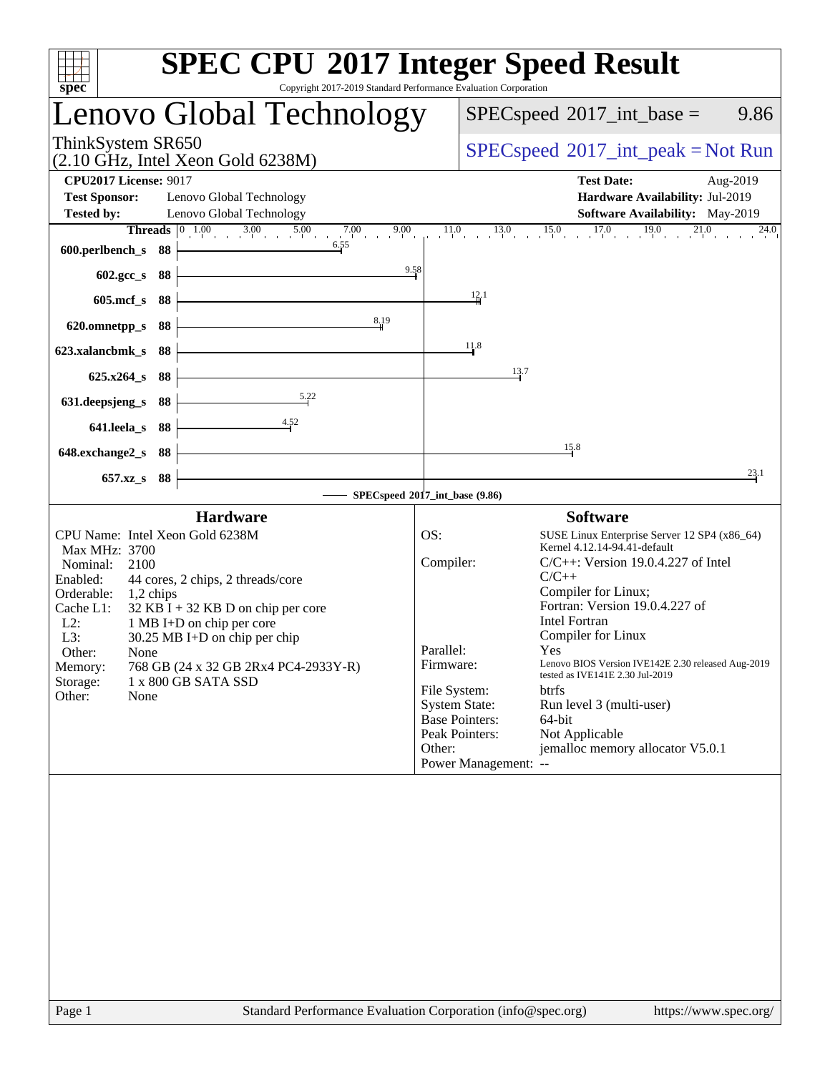| Copyright 2017-2019 Standard Performance Evaluation Corporation<br>spec <sup>®</sup>                                                 | <b>SPEC CPU®2017 Integer Speed Result</b>                                                 |
|--------------------------------------------------------------------------------------------------------------------------------------|-------------------------------------------------------------------------------------------|
| Lenovo Global Technology                                                                                                             | $SPEC speed^{\circ}2017\_int\_base =$<br>9.86                                             |
| ThinkSystem SR650<br>$(2.10 \text{ GHz}, \text{Intel Xeon Gold } 6238\text{M})$                                                      | $SPEC speed^{\circ}2017\_int\_peak = Not Run$                                             |
| <b>CPU2017 License: 9017</b><br><b>Test Sponsor:</b><br>Lenovo Global Technology                                                     | <b>Test Date:</b><br>Aug-2019<br>Hardware Availability: Jul-2019                          |
| <b>Tested by:</b><br>Lenovo Global Technology<br><b>Threads</b> $\begin{bmatrix} 0 & 1.00 & 3.00 & 5.00 & 7.00 & 9.00 \end{bmatrix}$ | Software Availability: May-2019<br>$11.0$ $13.0$ $15.0$ $17.0$ $19.0$ $21.0$<br>$^{24.0}$ |
| 6.55<br>600.perlbench_s 88                                                                                                           |                                                                                           |
| 9.58<br>602.gcc_s 88                                                                                                                 |                                                                                           |
| 605.mcf_s 88                                                                                                                         | 12.1                                                                                      |
| 8,19<br>620.omnetpp_s 88                                                                                                             |                                                                                           |
| 623.xalancbmk_s 88                                                                                                                   | 11.8                                                                                      |
| 625.x264_s 88                                                                                                                        | 13.7                                                                                      |
| 5.22<br>631.deepsjeng_s<br>88                                                                                                        |                                                                                           |
| $-4.52$<br>641.leela_s 88                                                                                                            |                                                                                           |
| 648.exchange2_s 88                                                                                                                   | 15.8                                                                                      |
| 657.xz_s 88                                                                                                                          | 23.1                                                                                      |
|                                                                                                                                      | SPECspeed®2017_int_base (9.86)                                                            |
| <b>Hardware</b>                                                                                                                      | <b>Software</b>                                                                           |
| CPU Name: Intel Xeon Gold 6238M<br>Max MHz: 3700                                                                                     | OS:<br>SUSE Linux Enterprise Server 12 SP4 (x86_64)<br>Kernel 4.12.14-94.41-default       |
| Nominal:<br>2100<br>44 cores, 2 chips, 2 threads/core<br>Enabled:                                                                    | Compiler:<br>$C/C++$ : Version 19.0.4.227 of Intel<br>$C/C++$                             |
| Orderable:<br>$1,2$ chips                                                                                                            | Compiler for Linux;                                                                       |
| Cache L1:<br>$32$ KB I + 32 KB D on chip per core<br>$L2$ :<br>1 MB I+D on chip per core                                             | Fortran: Version 19.0.4.227 of<br><b>Intel Fortran</b>                                    |
| L3:<br>$30.25$ MB I+D on chip per chip                                                                                               | Compiler for Linux<br>Yes and the Second Street.                                          |
| Other:<br>None<br>768 GB (24 x 32 GB 2Rx4 PC4-2933Y-R)<br>Memory:                                                                    | Parallel:<br>Lenovo BIOS Version IVE142E 2.30 released Aug-2019<br>Firmware:              |
| Storage:<br>1 x 800 GB SATA SSD                                                                                                      | tested as IVE141E 2.30 Jul-2019<br>File System:<br><b>btrfs</b>                           |
| Other:<br>None                                                                                                                       | <b>System State:</b><br>Run level 3 (multi-user)                                          |
|                                                                                                                                      | <b>Base Pointers:</b><br>64-bit<br>Peak Pointers:<br>Not Applicable                       |
|                                                                                                                                      | jemalloc memory allocator V5.0.1<br>Other:                                                |
|                                                                                                                                      | Power Management: --                                                                      |
|                                                                                                                                      |                                                                                           |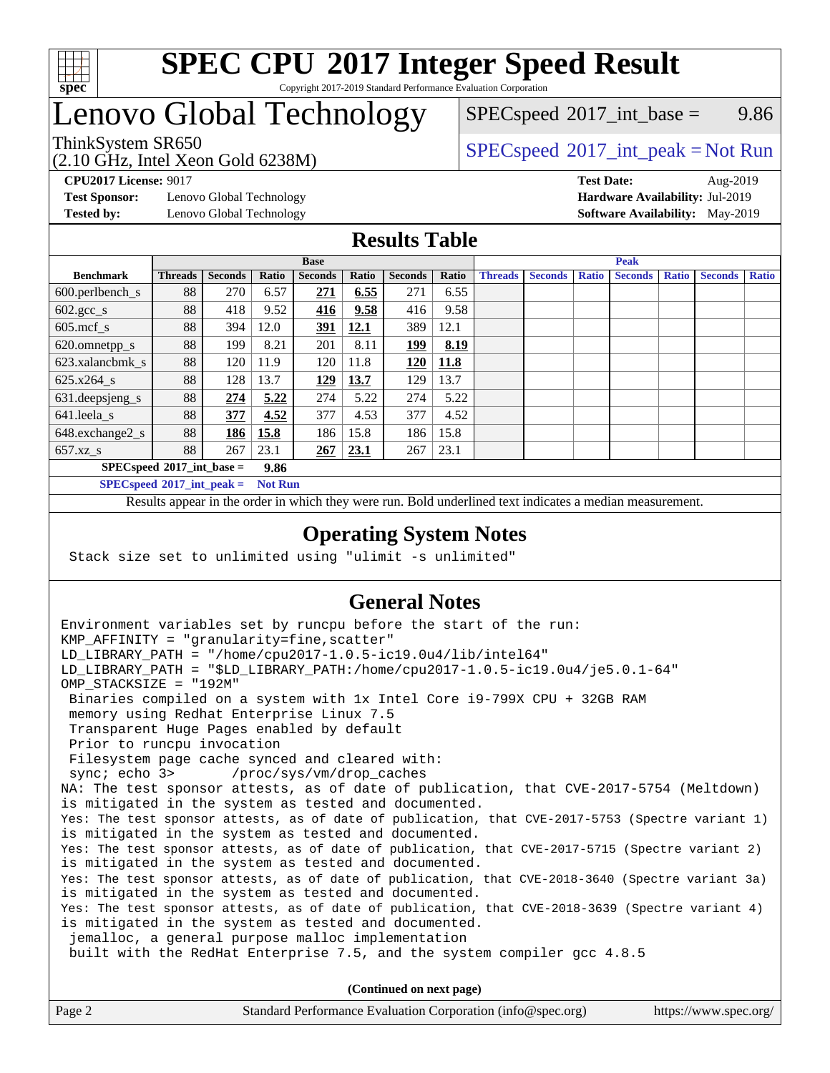

#### **[SPEC CPU](http://www.spec.org/auto/cpu2017/Docs/result-fields.html#SPECCPU2017IntegerSpeedResult)[2017 Integer Speed Result](http://www.spec.org/auto/cpu2017/Docs/result-fields.html#SPECCPU2017IntegerSpeedResult)** Copyright 2017-2019 Standard Performance Evaluation Corporation

# Lenovo Global Technology

(2.10 GHz, Intel Xeon Gold 6238M)

 $SPECspeed^{\circ}2017\_int\_base =$  $SPECspeed^{\circ}2017\_int\_base =$  9.86

### ThinkSystem SR650<br>  $SPECspeed^{\circ}2017\_int\_peak = Not Run$  $SPECspeed^{\circ}2017\_int\_peak = Not Run$

**[Test Sponsor:](http://www.spec.org/auto/cpu2017/Docs/result-fields.html#TestSponsor)** Lenovo Global Technology **[Hardware Availability:](http://www.spec.org/auto/cpu2017/Docs/result-fields.html#HardwareAvailability)** Jul-2019

**[CPU2017 License:](http://www.spec.org/auto/cpu2017/Docs/result-fields.html#CPU2017License)** 9017 **[Test Date:](http://www.spec.org/auto/cpu2017/Docs/result-fields.html#TestDate)** Aug-2019 **[Tested by:](http://www.spec.org/auto/cpu2017/Docs/result-fields.html#Testedby)** Lenovo Global Technology **[Software Availability:](http://www.spec.org/auto/cpu2017/Docs/result-fields.html#SoftwareAvailability)** May-2019

#### **[Results Table](http://www.spec.org/auto/cpu2017/Docs/result-fields.html#ResultsTable)**

| <b>Base</b>                                |                |                |       | <b>Peak</b>    |       |                |       |                |                |              |                |              |                |              |
|--------------------------------------------|----------------|----------------|-------|----------------|-------|----------------|-------|----------------|----------------|--------------|----------------|--------------|----------------|--------------|
| <b>Benchmark</b>                           | <b>Threads</b> | <b>Seconds</b> | Ratio | <b>Seconds</b> | Ratio | <b>Seconds</b> | Ratio | <b>Threads</b> | <b>Seconds</b> | <b>Ratio</b> | <b>Seconds</b> | <b>Ratio</b> | <b>Seconds</b> | <b>Ratio</b> |
| 600.perlbench_s                            | 88             | 270            | 6.57  | 271            | 6.55  | 271            | 6.55  |                |                |              |                |              |                |              |
| $602.\text{gcc}\_\text{s}$                 | 88             | 418            | 9.52  | <u>416</u>     | 9.58  | 416            | 9.58  |                |                |              |                |              |                |              |
| $605$ .mcf s                               | 88             | 394            | 12.0  | <u>391</u>     | 12.1  | 389            | 12.1  |                |                |              |                |              |                |              |
| 620.omnetpp_s                              | 88             | 199            | 8.21  | 201            | 8.11  | <u> 199</u>    | 8.19  |                |                |              |                |              |                |              |
| 623.xalancbmk s                            | 88             | 120            | 11.9  | 120            | 11.8  | 120            | 11.8  |                |                |              |                |              |                |              |
| 625.x264 s                                 | 88             | 128            | 13.7  | 129            | 13.7  | 129            | 13.7  |                |                |              |                |              |                |              |
| 631.deepsjeng_s                            | 88             | 274            | 5.22  | 274            | 5.22  | 274            | 5.22  |                |                |              |                |              |                |              |
| $641$ .leela_s                             | 88             | 377            | 4.52  | 377            | 4.53  | 377            | 4.52  |                |                |              |                |              |                |              |
| $648$ .exchange $2_s$                      | 88             | 186            | 15.8  | 186            | 15.8  | 186            | 15.8  |                |                |              |                |              |                |              |
| $657.xz$ s                                 | 88             | 267            | 23.1  | 267            | 23.1  | 267            | 23.1  |                |                |              |                |              |                |              |
| $SPECspeed^{\circ}2017$ int base =<br>9.86 |                |                |       |                |       |                |       |                |                |              |                |              |                |              |

**[SPECspeed](http://www.spec.org/auto/cpu2017/Docs/result-fields.html#SPECspeed2017intpeak)[2017\\_int\\_peak =](http://www.spec.org/auto/cpu2017/Docs/result-fields.html#SPECspeed2017intpeak) Not Run**

Results appear in the [order in which they were run.](http://www.spec.org/auto/cpu2017/Docs/result-fields.html#RunOrder) Bold underlined text [indicates a median measurement.](http://www.spec.org/auto/cpu2017/Docs/result-fields.html#Median)

#### **[Operating System Notes](http://www.spec.org/auto/cpu2017/Docs/result-fields.html#OperatingSystemNotes)**

Stack size set to unlimited using "ulimit -s unlimited"

### **[General Notes](http://www.spec.org/auto/cpu2017/Docs/result-fields.html#GeneralNotes)**

Environment variables set by runcpu before the start of the run: KMP AFFINITY = "granularity=fine, scatter" LD\_LIBRARY\_PATH = "/home/cpu2017-1.0.5-ic19.0u4/lib/intel64" LD\_LIBRARY\_PATH = "\$LD\_LIBRARY\_PATH:/home/cpu2017-1.0.5-ic19.0u4/je5.0.1-64" OMP\_STACKSIZE = "192M" Binaries compiled on a system with 1x Intel Core i9-799X CPU + 32GB RAM memory using Redhat Enterprise Linux 7.5 Transparent Huge Pages enabled by default Prior to runcpu invocation Filesystem page cache synced and cleared with: sync; echo 3> /proc/sys/vm/drop\_caches NA: The test sponsor attests, as of date of publication, that CVE-2017-5754 (Meltdown) is mitigated in the system as tested and documented. Yes: The test sponsor attests, as of date of publication, that CVE-2017-5753 (Spectre variant 1) is mitigated in the system as tested and documented. Yes: The test sponsor attests, as of date of publication, that CVE-2017-5715 (Spectre variant 2) is mitigated in the system as tested and documented. Yes: The test sponsor attests, as of date of publication, that CVE-2018-3640 (Spectre variant 3a) is mitigated in the system as tested and documented. Yes: The test sponsor attests, as of date of publication, that CVE-2018-3639 (Spectre variant 4) is mitigated in the system as tested and documented. jemalloc, a general purpose malloc implementation built with the RedHat Enterprise 7.5, and the system compiler gcc 4.8.5 **(Continued on next page)**

| Page 2 | Standard Performance Evaluation Corporation (info@spec.org) | https://www.spec.org/ |
|--------|-------------------------------------------------------------|-----------------------|
|        |                                                             |                       |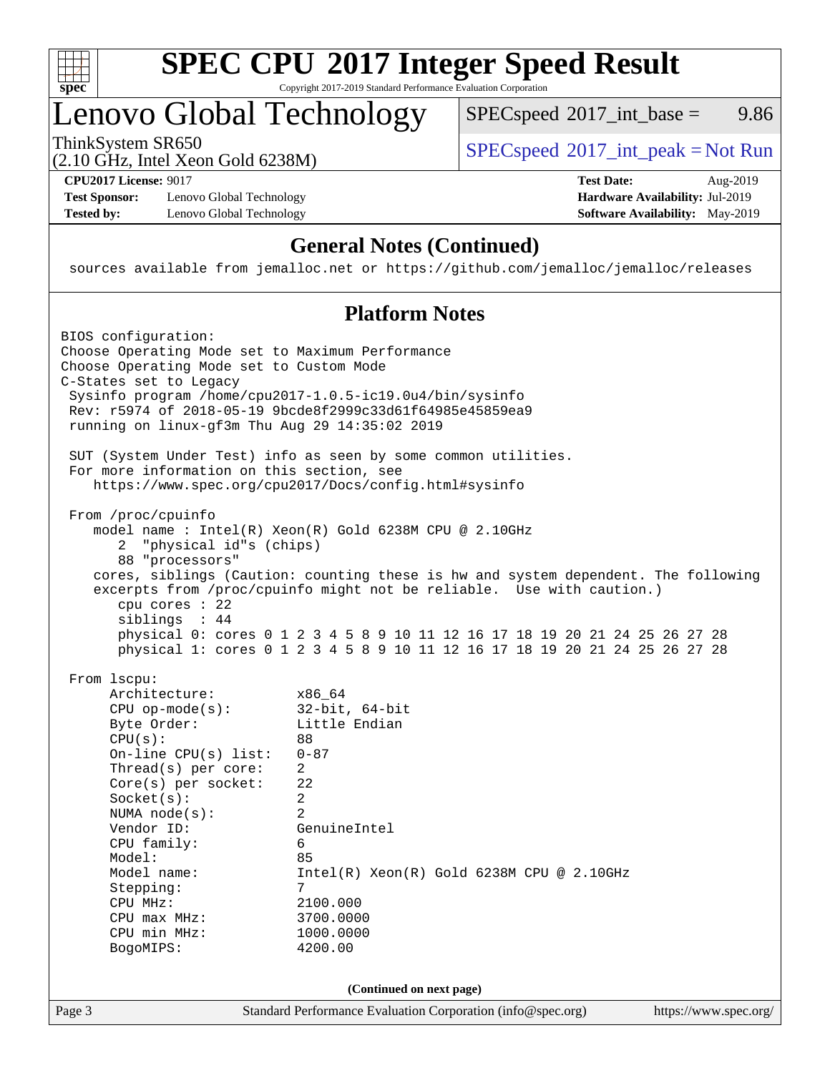

#### **[SPEC CPU](http://www.spec.org/auto/cpu2017/Docs/result-fields.html#SPECCPU2017IntegerSpeedResult)[2017 Integer Speed Result](http://www.spec.org/auto/cpu2017/Docs/result-fields.html#SPECCPU2017IntegerSpeedResult)** Copyright 2017-2019 Standard Performance Evaluation Corporation

# Lenovo Global Technology

ThinkSystem SR650<br>  $SPECspeed^{\circ}2017\_int\_peak = Not Run$  $SPECspeed^{\circ}2017\_int\_peak = Not Run$  $SPECspeed^{\circ}2017\_int\_base =$  $SPECspeed^{\circ}2017\_int\_base =$  9.86

(2.10 GHz, Intel Xeon Gold 6238M)

**[Test Sponsor:](http://www.spec.org/auto/cpu2017/Docs/result-fields.html#TestSponsor)** Lenovo Global Technology **[Hardware Availability:](http://www.spec.org/auto/cpu2017/Docs/result-fields.html#HardwareAvailability)** Jul-2019 **[Tested by:](http://www.spec.org/auto/cpu2017/Docs/result-fields.html#Testedby)** Lenovo Global Technology **[Software Availability:](http://www.spec.org/auto/cpu2017/Docs/result-fields.html#SoftwareAvailability)** May-2019

**[CPU2017 License:](http://www.spec.org/auto/cpu2017/Docs/result-fields.html#CPU2017License)** 9017 **[Test Date:](http://www.spec.org/auto/cpu2017/Docs/result-fields.html#TestDate)** Aug-2019

#### **[General Notes \(Continued\)](http://www.spec.org/auto/cpu2017/Docs/result-fields.html#GeneralNotes)**

sources available from jemalloc.net or <https://github.com/jemalloc/jemalloc/releases>

#### **[Platform Notes](http://www.spec.org/auto/cpu2017/Docs/result-fields.html#PlatformNotes)**

Page 3 Standard Performance Evaluation Corporation [\(info@spec.org\)](mailto:info@spec.org) <https://www.spec.org/> BIOS configuration: Choose Operating Mode set to Maximum Performance Choose Operating Mode set to Custom Mode C-States set to Legacy Sysinfo program /home/cpu2017-1.0.5-ic19.0u4/bin/sysinfo Rev: r5974 of 2018-05-19 9bcde8f2999c33d61f64985e45859ea9 running on linux-gf3m Thu Aug 29 14:35:02 2019 SUT (System Under Test) info as seen by some common utilities. For more information on this section, see <https://www.spec.org/cpu2017/Docs/config.html#sysinfo> From /proc/cpuinfo model name : Intel(R) Xeon(R) Gold 6238M CPU @ 2.10GHz 2 "physical id"s (chips) 88 "processors" cores, siblings (Caution: counting these is hw and system dependent. The following excerpts from /proc/cpuinfo might not be reliable. Use with caution.) cpu cores : 22 siblings : 44 physical 0: cores 0 1 2 3 4 5 8 9 10 11 12 16 17 18 19 20 21 24 25 26 27 28 physical 1: cores 0 1 2 3 4 5 8 9 10 11 12 16 17 18 19 20 21 24 25 26 27 28 From lscpu: Architecture: x86\_64 CPU op-mode(s): 32-bit, 64-bit Byte Order: Little Endian  $CPU(s):$  88 On-line CPU(s) list: 0-87 Thread(s) per core: 2 Core(s) per socket: 22 Socket(s): 2 NUMA node(s): 2 Vendor ID: GenuineIntel CPU family: 6 Model: 85 Model name: Intel(R) Xeon(R) Gold 6238M CPU @ 2.10GHz Stepping: 7 CPU MHz: 2100.000 CPU max MHz: 3700.0000 CPU min MHz: 1000.0000 BogoMIPS: 4200.00 **(Continued on next page)**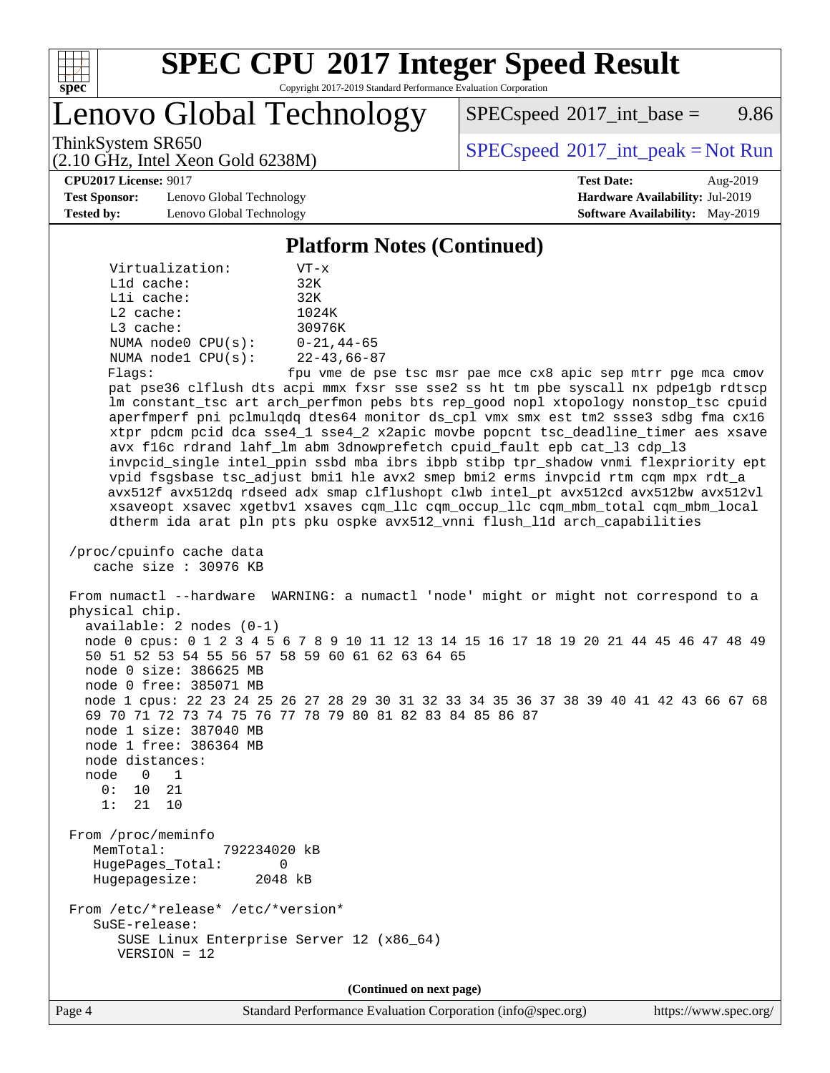

# **[SPEC CPU](http://www.spec.org/auto/cpu2017/Docs/result-fields.html#SPECCPU2017IntegerSpeedResult)[2017 Integer Speed Result](http://www.spec.org/auto/cpu2017/Docs/result-fields.html#SPECCPU2017IntegerSpeedResult)**

Copyright 2017-2019 Standard Performance Evaluation Corporation

Lenovo Global Technology

 $SPEC speed^{\circ}2017\_int\_base =$  9.86

(2.10 GHz, Intel Xeon Gold 6238M)

ThinkSystem SR650<br>  $SPEC speed^{\circ}2017\_int\_peak = Not Run$ 

#### **[CPU2017 License:](http://www.spec.org/auto/cpu2017/Docs/result-fields.html#CPU2017License)** 9017 **[Test Date:](http://www.spec.org/auto/cpu2017/Docs/result-fields.html#TestDate)** Aug-2019

**[Test Sponsor:](http://www.spec.org/auto/cpu2017/Docs/result-fields.html#TestSponsor)** Lenovo Global Technology **[Hardware Availability:](http://www.spec.org/auto/cpu2017/Docs/result-fields.html#HardwareAvailability)** Jul-2019 **[Tested by:](http://www.spec.org/auto/cpu2017/Docs/result-fields.html#Testedby)** Lenovo Global Technology **[Software Availability:](http://www.spec.org/auto/cpu2017/Docs/result-fields.html#SoftwareAvailability)** May-2019

#### **[Platform Notes \(Continued\)](http://www.spec.org/auto/cpu2017/Docs/result-fields.html#PlatformNotes)**

| Virtualization:         | $VT - x$          |
|-------------------------|-------------------|
| $L1d$ cache:            | 32K               |
| Lli cache:              | 32K               |
| $L2$ cache:             | 1024K             |
| $L3$ cache:             | 30976K            |
| NUMA $node0$ $CPU(s)$ : | $0 - 21, 44 - 65$ |
| NUMA nodel CPU(s):      | $22 - 43,66 - 87$ |
| Flags:                  | fpu vme de pse    |

le pse tsc msr pae mce cx8 apic sep mtrr pge mca cmov pat pse36 clflush dts acpi mmx fxsr sse sse2 ss ht tm pbe syscall nx pdpe1gb rdtscp lm constant\_tsc art arch\_perfmon pebs bts rep\_good nopl xtopology nonstop\_tsc cpuid aperfmperf pni pclmulqdq dtes64 monitor ds\_cpl vmx smx est tm2 ssse3 sdbg fma cx16 xtpr pdcm pcid dca sse4\_1 sse4\_2 x2apic movbe popcnt tsc\_deadline\_timer aes xsave avx f16c rdrand lahf\_lm abm 3dnowprefetch cpuid\_fault epb cat\_l3 cdp\_l3 invpcid\_single intel\_ppin ssbd mba ibrs ibpb stibp tpr\_shadow vnmi flexpriority ept vpid fsgsbase tsc\_adjust bmi1 hle avx2 smep bmi2 erms invpcid rtm cqm mpx rdt\_a avx512f avx512dq rdseed adx smap clflushopt clwb intel\_pt avx512cd avx512bw avx512vl xsaveopt xsavec xgetbv1 xsaves cqm\_llc cqm\_occup\_llc cqm\_mbm\_total cqm\_mbm\_local dtherm ida arat pln pts pku ospke avx512\_vnni flush\_l1d arch\_capabilities

 /proc/cpuinfo cache data cache size : 30976 KB

 From numactl --hardware WARNING: a numactl 'node' might or might not correspond to a physical chip. available: 2 nodes (0-1) node 0 cpus: 0 1 2 3 4 5 6 7 8 9 10 11 12 13 14 15 16 17 18 19 20 21 44 45 46 47 48 49 50 51 52 53 54 55 56 57 58 59 60 61 62 63 64 65 node 0 size: 386625 MB node 0 free: 385071 MB node 1 cpus: 22 23 24 25 26 27 28 29 30 31 32 33 34 35 36 37 38 39 40 41 42 43 66 67 68 69 70 71 72 73 74 75 76 77 78 79 80 81 82 83 84 85 86 87 node 1 size: 387040 MB node 1 free: 386364 MB node distances: node 0 1 0: 10 21 1: 21 10 From /proc/meminfo MemTotal: 792234020 kB HugePages\_Total: 0 Hugepagesize: 2048 kB From /etc/\*release\* /etc/\*version\* SuSE-release:

 SUSE Linux Enterprise Server 12 (x86\_64) VERSION = 12

**(Continued on next page)**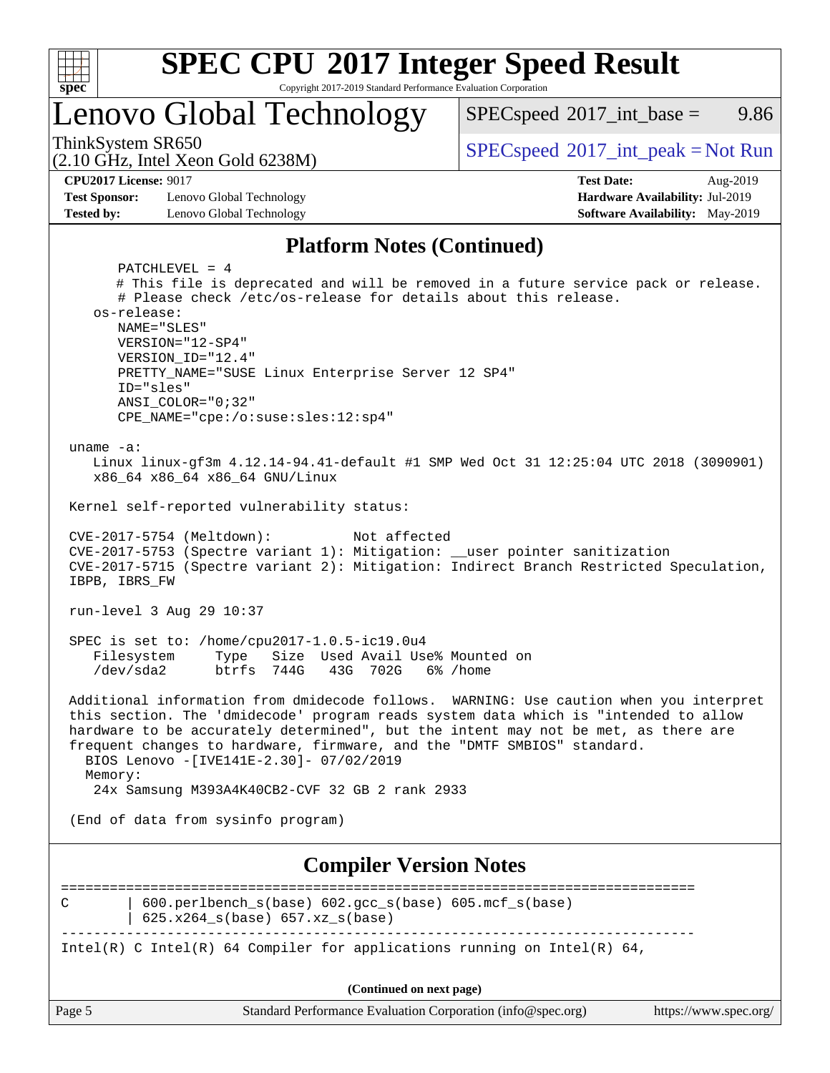

# **[SPEC CPU](http://www.spec.org/auto/cpu2017/Docs/result-fields.html#SPECCPU2017IntegerSpeedResult)[2017 Integer Speed Result](http://www.spec.org/auto/cpu2017/Docs/result-fields.html#SPECCPU2017IntegerSpeedResult)**

Copyright 2017-2019 Standard Performance Evaluation Corporation

# Lenovo Global Technology

 $SPECspeed^{\circ}2017\_int\_base =$  $SPECspeed^{\circ}2017\_int\_base =$  9.86

(2.10 GHz, Intel Xeon Gold 6238M)

ThinkSystem SR650<br>  $SPEC speed^{\circ}2017\_int\_peak = Not Run$ 

**[CPU2017 License:](http://www.spec.org/auto/cpu2017/Docs/result-fields.html#CPU2017License)** 9017 **[Test Date:](http://www.spec.org/auto/cpu2017/Docs/result-fields.html#TestDate)** Aug-2019

**[Test Sponsor:](http://www.spec.org/auto/cpu2017/Docs/result-fields.html#TestSponsor)** Lenovo Global Technology **[Hardware Availability:](http://www.spec.org/auto/cpu2017/Docs/result-fields.html#HardwareAvailability)** Jul-2019 **[Tested by:](http://www.spec.org/auto/cpu2017/Docs/result-fields.html#Testedby)** Lenovo Global Technology **[Software Availability:](http://www.spec.org/auto/cpu2017/Docs/result-fields.html#SoftwareAvailability)** May-2019

#### **[Platform Notes \(Continued\)](http://www.spec.org/auto/cpu2017/Docs/result-fields.html#PlatformNotes)**

Page 5 Standard Performance Evaluation Corporation [\(info@spec.org\)](mailto:info@spec.org) <https://www.spec.org/> PATCHLEVEL = 4 # This file is deprecated and will be removed in a future service pack or release. # Please check /etc/os-release for details about this release. os-release: NAME="SLES" VERSION="12-SP4" VERSION\_ID="12.4" PRETTY\_NAME="SUSE Linux Enterprise Server 12 SP4" ID="sles" ANSI\_COLOR="0;32" CPE\_NAME="cpe:/o:suse:sles:12:sp4" uname -a: Linux linux-gf3m 4.12.14-94.41-default #1 SMP Wed Oct 31 12:25:04 UTC 2018 (3090901) x86\_64 x86\_64 x86\_64 GNU/Linux Kernel self-reported vulnerability status: CVE-2017-5754 (Meltdown): Not affected CVE-2017-5753 (Spectre variant 1): Mitigation: \_\_user pointer sanitization CVE-2017-5715 (Spectre variant 2): Mitigation: Indirect Branch Restricted Speculation, IBPB, IBRS\_FW run-level 3 Aug 29 10:37 SPEC is set to: /home/cpu2017-1.0.5-ic19.0u4 Filesystem Type Size Used Avail Use% Mounted on /dev/sda2 btrfs 744G 43G 702G 6% /home Additional information from dmidecode follows. WARNING: Use caution when you interpret this section. The 'dmidecode' program reads system data which is "intended to allow hardware to be accurately determined", but the intent may not be met, as there are frequent changes to hardware, firmware, and the "DMTF SMBIOS" standard. BIOS Lenovo -[IVE141E-2.30]- 07/02/2019 Memory: 24x Samsung M393A4K40CB2-CVF 32 GB 2 rank 2933 (End of data from sysinfo program) **[Compiler Version Notes](http://www.spec.org/auto/cpu2017/Docs/result-fields.html#CompilerVersionNotes)** ============================================================================== C | 600.perlbench\_s(base) 602.gcc\_s(base) 605.mcf\_s(base) | 625.x264\_s(base) 657.xz\_s(base) ------------------------------------------------------------------------------ Intel(R) C Intel(R) 64 Compiler for applications running on Intel(R)  $64$ , **(Continued on next page)**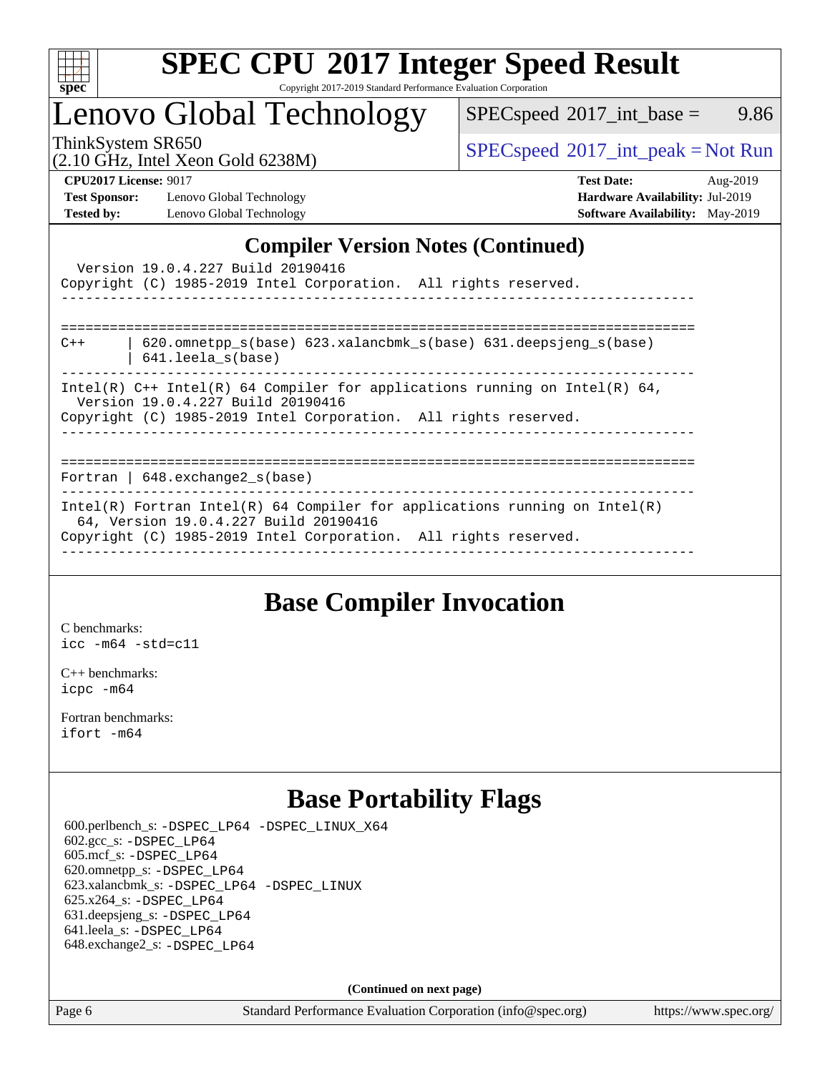

# **[SPEC CPU](http://www.spec.org/auto/cpu2017/Docs/result-fields.html#SPECCPU2017IntegerSpeedResult)[2017 Integer Speed Result](http://www.spec.org/auto/cpu2017/Docs/result-fields.html#SPECCPU2017IntegerSpeedResult)**

Copyright 2017-2019 Standard Performance Evaluation Corporation

# Lenovo Global Technology

 $SPEC speed^{\circ}2017\_int\_base =$  9.86

(2.10 GHz, Intel Xeon Gold 6238M)

ThinkSystem SR650<br>  $\begin{array}{c}\n\text{SPEC speed} \text{?}2017\_int\_peak = Not Run \\
\text{CHz\_Total Yes} = \text{Gold }6238M\n\end{array}$ 

**[Test Sponsor:](http://www.spec.org/auto/cpu2017/Docs/result-fields.html#TestSponsor)** Lenovo Global Technology **[Hardware Availability:](http://www.spec.org/auto/cpu2017/Docs/result-fields.html#HardwareAvailability)** Jul-2019 **[Tested by:](http://www.spec.org/auto/cpu2017/Docs/result-fields.html#Testedby)** Lenovo Global Technology **[Software Availability:](http://www.spec.org/auto/cpu2017/Docs/result-fields.html#SoftwareAvailability)** May-2019

**[CPU2017 License:](http://www.spec.org/auto/cpu2017/Docs/result-fields.html#CPU2017License)** 9017 **[Test Date:](http://www.spec.org/auto/cpu2017/Docs/result-fields.html#TestDate)** Aug-2019

### **[Compiler Version Notes \(Continued\)](http://www.spec.org/auto/cpu2017/Docs/result-fields.html#CompilerVersionNotes)**

|       | Version 19.0.4.227 Build 20190416<br>Copyright (C) 1985-2019 Intel Corporation. All rights reserved.<br>_____________________________________                                          |
|-------|----------------------------------------------------------------------------------------------------------------------------------------------------------------------------------------|
| $C++$ | 620.omnetpp s(base) 623.xalancbmk s(base) 631.deepsjeng s(base)<br>$641.$ leela $s(base)$                                                                                              |
|       | Intel(R) $C++$ Intel(R) 64 Compiler for applications running on Intel(R) 64,<br>Version 19.0.4.227 Build 20190416<br>Copyright (C) 1985-2019 Intel Corporation. All rights reserved.   |
|       | Fortran   $648$ . exchange $2_s$ (base)                                                                                                                                                |
|       | Intel(R) Fortran Intel(R) 64 Compiler for applications running on Intel(R)<br>64, Version 19.0.4.227 Build 20190416<br>Copyright (C) 1985-2019 Intel Corporation. All rights reserved. |

## **[Base Compiler Invocation](http://www.spec.org/auto/cpu2017/Docs/result-fields.html#BaseCompilerInvocation)**

[C benchmarks](http://www.spec.org/auto/cpu2017/Docs/result-fields.html#Cbenchmarks): [icc -m64 -std=c11](http://www.spec.org/cpu2017/results/res2019q3/cpu2017-20190902-17416.flags.html#user_CCbase_intel_icc_64bit_c11_33ee0cdaae7deeeab2a9725423ba97205ce30f63b9926c2519791662299b76a0318f32ddfffdc46587804de3178b4f9328c46fa7c2b0cd779d7a61945c91cd35)

[C++ benchmarks:](http://www.spec.org/auto/cpu2017/Docs/result-fields.html#CXXbenchmarks) [icpc -m64](http://www.spec.org/cpu2017/results/res2019q3/cpu2017-20190902-17416.flags.html#user_CXXbase_intel_icpc_64bit_4ecb2543ae3f1412ef961e0650ca070fec7b7afdcd6ed48761b84423119d1bf6bdf5cad15b44d48e7256388bc77273b966e5eb805aefd121eb22e9299b2ec9d9)

[Fortran benchmarks](http://www.spec.org/auto/cpu2017/Docs/result-fields.html#Fortranbenchmarks): [ifort -m64](http://www.spec.org/cpu2017/results/res2019q3/cpu2017-20190902-17416.flags.html#user_FCbase_intel_ifort_64bit_24f2bb282fbaeffd6157abe4f878425411749daecae9a33200eee2bee2fe76f3b89351d69a8130dd5949958ce389cf37ff59a95e7a40d588e8d3a57e0c3fd751)

# **[Base Portability Flags](http://www.spec.org/auto/cpu2017/Docs/result-fields.html#BasePortabilityFlags)**

 600.perlbench\_s: [-DSPEC\\_LP64](http://www.spec.org/cpu2017/results/res2019q3/cpu2017-20190902-17416.flags.html#b600.perlbench_s_basePORTABILITY_DSPEC_LP64) [-DSPEC\\_LINUX\\_X64](http://www.spec.org/cpu2017/results/res2019q3/cpu2017-20190902-17416.flags.html#b600.perlbench_s_baseCPORTABILITY_DSPEC_LINUX_X64) 602.gcc\_s: [-DSPEC\\_LP64](http://www.spec.org/cpu2017/results/res2019q3/cpu2017-20190902-17416.flags.html#suite_basePORTABILITY602_gcc_s_DSPEC_LP64) 605.mcf\_s: [-DSPEC\\_LP64](http://www.spec.org/cpu2017/results/res2019q3/cpu2017-20190902-17416.flags.html#suite_basePORTABILITY605_mcf_s_DSPEC_LP64) 620.omnetpp\_s: [-DSPEC\\_LP64](http://www.spec.org/cpu2017/results/res2019q3/cpu2017-20190902-17416.flags.html#suite_basePORTABILITY620_omnetpp_s_DSPEC_LP64) 623.xalancbmk\_s: [-DSPEC\\_LP64](http://www.spec.org/cpu2017/results/res2019q3/cpu2017-20190902-17416.flags.html#suite_basePORTABILITY623_xalancbmk_s_DSPEC_LP64) [-DSPEC\\_LINUX](http://www.spec.org/cpu2017/results/res2019q3/cpu2017-20190902-17416.flags.html#b623.xalancbmk_s_baseCXXPORTABILITY_DSPEC_LINUX) 625.x264\_s: [-DSPEC\\_LP64](http://www.spec.org/cpu2017/results/res2019q3/cpu2017-20190902-17416.flags.html#suite_basePORTABILITY625_x264_s_DSPEC_LP64) 631.deepsjeng\_s: [-DSPEC\\_LP64](http://www.spec.org/cpu2017/results/res2019q3/cpu2017-20190902-17416.flags.html#suite_basePORTABILITY631_deepsjeng_s_DSPEC_LP64) 641.leela\_s: [-DSPEC\\_LP64](http://www.spec.org/cpu2017/results/res2019q3/cpu2017-20190902-17416.flags.html#suite_basePORTABILITY641_leela_s_DSPEC_LP64) 648.exchange2\_s: [-DSPEC\\_LP64](http://www.spec.org/cpu2017/results/res2019q3/cpu2017-20190902-17416.flags.html#suite_basePORTABILITY648_exchange2_s_DSPEC_LP64)

**(Continued on next page)**

Page 6 Standard Performance Evaluation Corporation [\(info@spec.org\)](mailto:info@spec.org) <https://www.spec.org/>